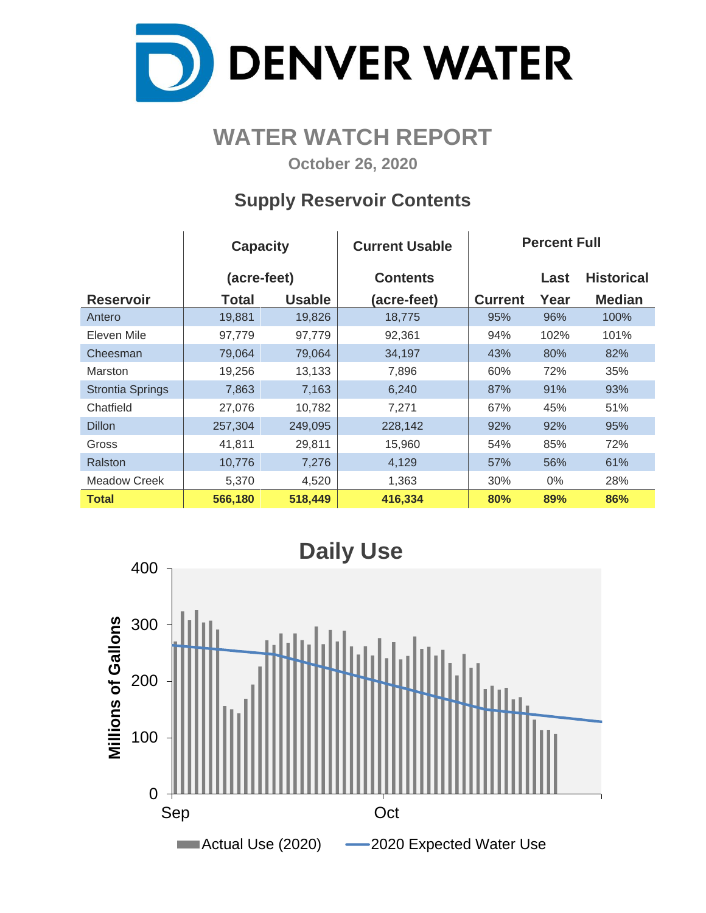

## **WATER WATCH REPORT**

**October 26, 2020**

### **Supply Reservoir Contents**

|                         | <b>Capacity</b> |               | <b>Current Usable</b> | <b>Percent Full</b> |       |                   |  |  |  |
|-------------------------|-----------------|---------------|-----------------------|---------------------|-------|-------------------|--|--|--|
|                         | (acre-feet)     |               | <b>Contents</b>       |                     | Last  | <b>Historical</b> |  |  |  |
| <b>Reservoir</b>        | <b>Total</b>    | <b>Usable</b> | (acre-feet)           | <b>Current</b>      | Year  | <b>Median</b>     |  |  |  |
| Antero                  | 19,881          | 19,826        | 18,775                | 95%                 | 96%   | 100%              |  |  |  |
| Eleven Mile             | 97,779          | 97,779        | 92,361                | 94%                 | 102%  | 101%              |  |  |  |
| Cheesman                | 79,064          | 79,064        | 34,197                | 43%                 | 80%   | 82%               |  |  |  |
| Marston                 | 19,256          | 13,133        | 7,896                 | 60%                 | 72%   | 35%               |  |  |  |
| <b>Strontia Springs</b> | 7,863           | 7,163         | 6,240                 | 87%                 | 91%   | 93%               |  |  |  |
| Chatfield               | 27,076          | 10,782        | 7,271                 | 67%                 | 45%   | 51%               |  |  |  |
| <b>Dillon</b>           | 257,304         | 249,095       | 228,142               | 92%                 | 92%   | 95%               |  |  |  |
| Gross                   | 41,811          | 29,811        | 15,960                | 54%                 | 85%   | 72%               |  |  |  |
| Ralston                 | 10,776          | 7,276         | 4,129                 | 57%                 | 56%   | 61%               |  |  |  |
| Meadow Creek            | 5,370           | 4,520         | 1,363                 | 30%                 | $0\%$ | 28%               |  |  |  |
| <b>Total</b>            | 566,180         | 518,449       | 416,334               | 80%                 | 89%   | 86%               |  |  |  |

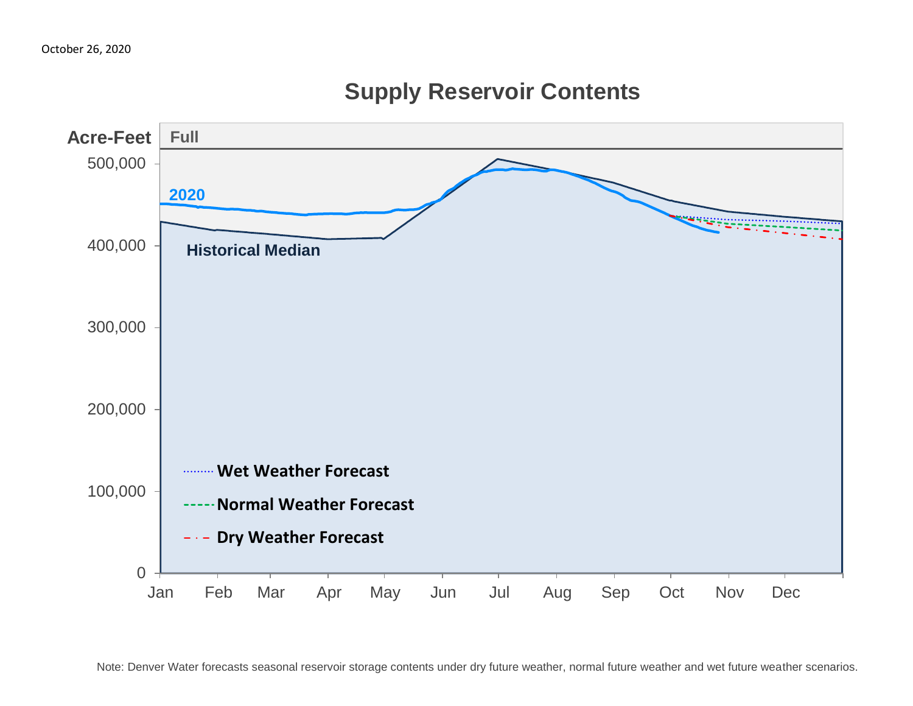

**Supply Reservoir Contents**

Note: Denver Water forecasts seasonal reservoir storage contents under dry future weather, normal future weather and wet future weather scenarios.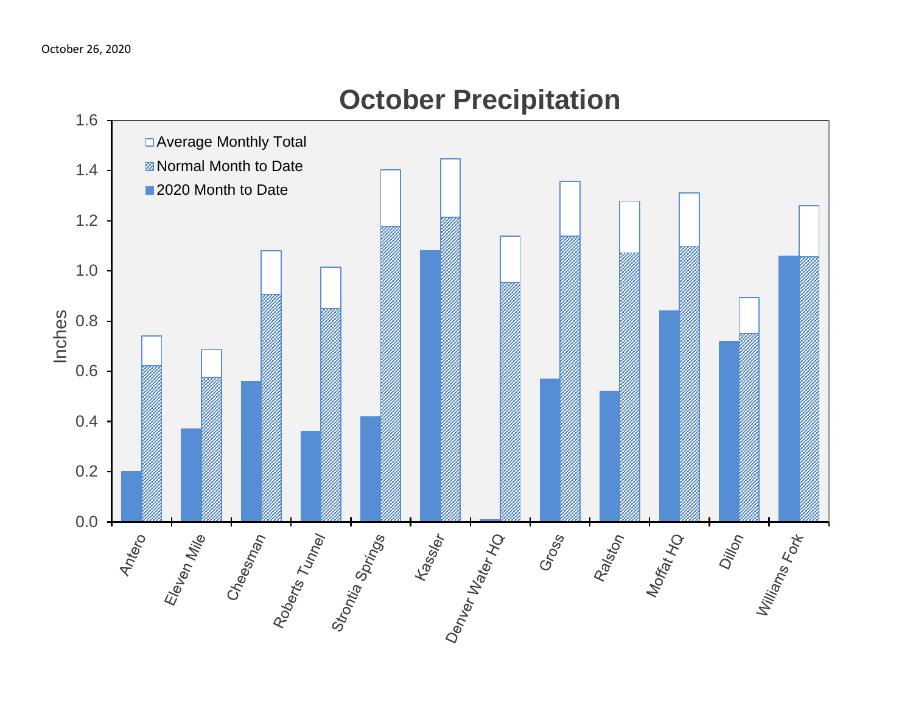

# **October Precipitation**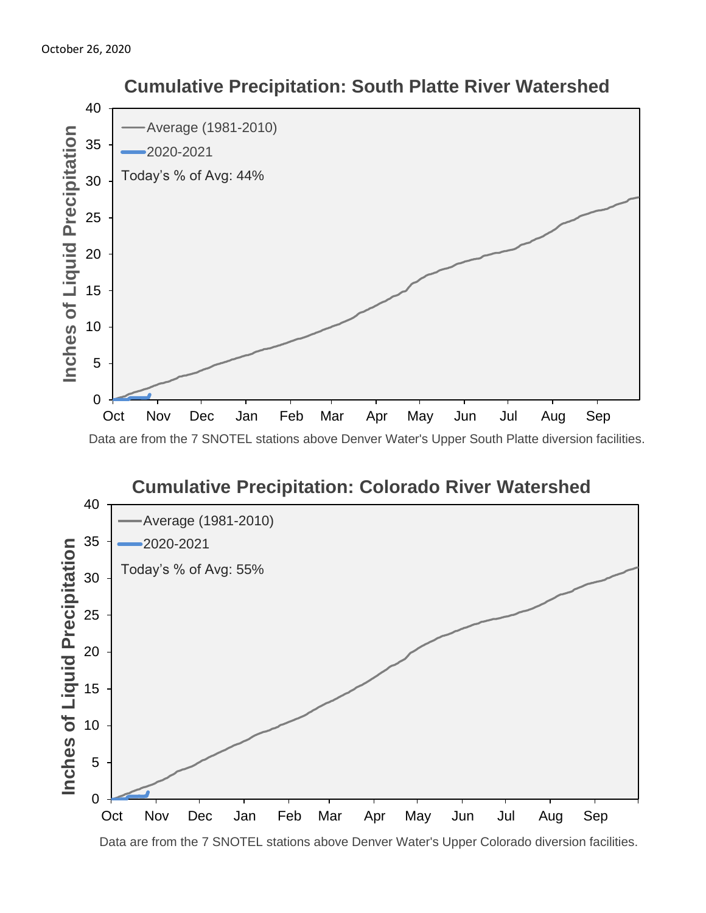

#### **Cumulative Precipitation: Colorado River Watershed** 40 Average (1981-2010) 35 2020-2021 Inches of Liquid Precipitation **Inches of Liquid Precipitation** Today's % of Avg: 55% 30 25 20 15 10 5 0 Oct Nov Dec Jan Feb Mar Apr May Jun Jul Aug Sep

 **Cumulative Precipitation: South Platte River Watershed**

Data are from the 7 SNOTEL stations above Denver Water's Upper Colorado diversion facilities.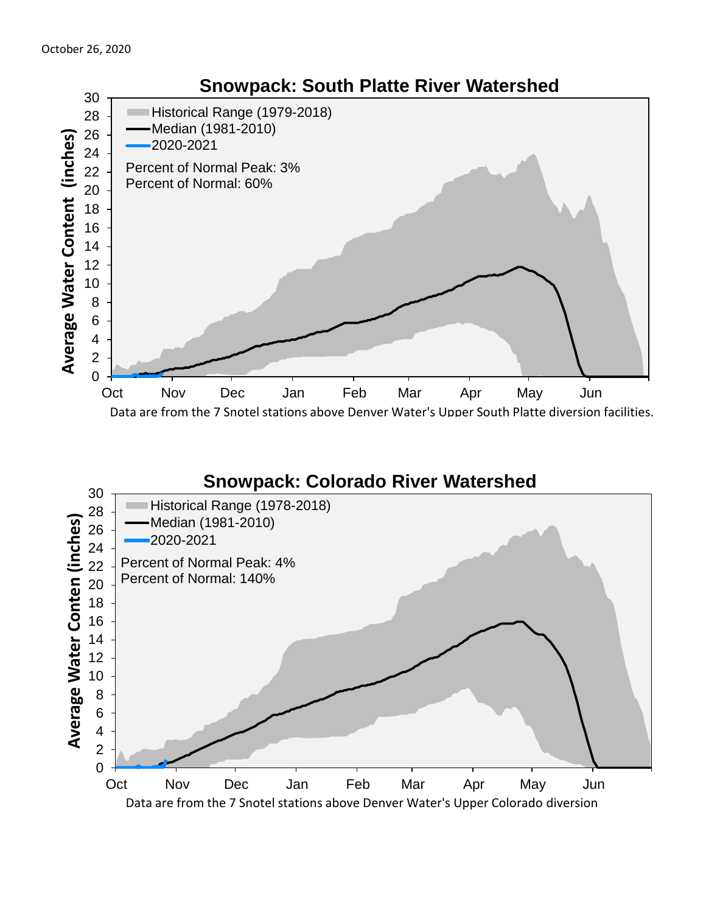

#### **Snowpack: Colorado River Watershed**

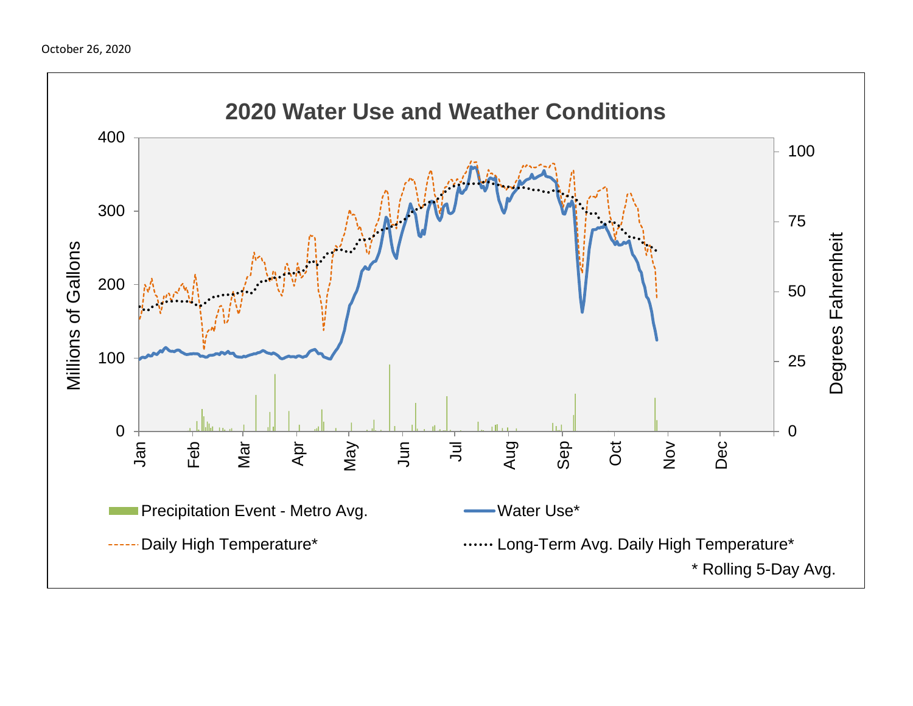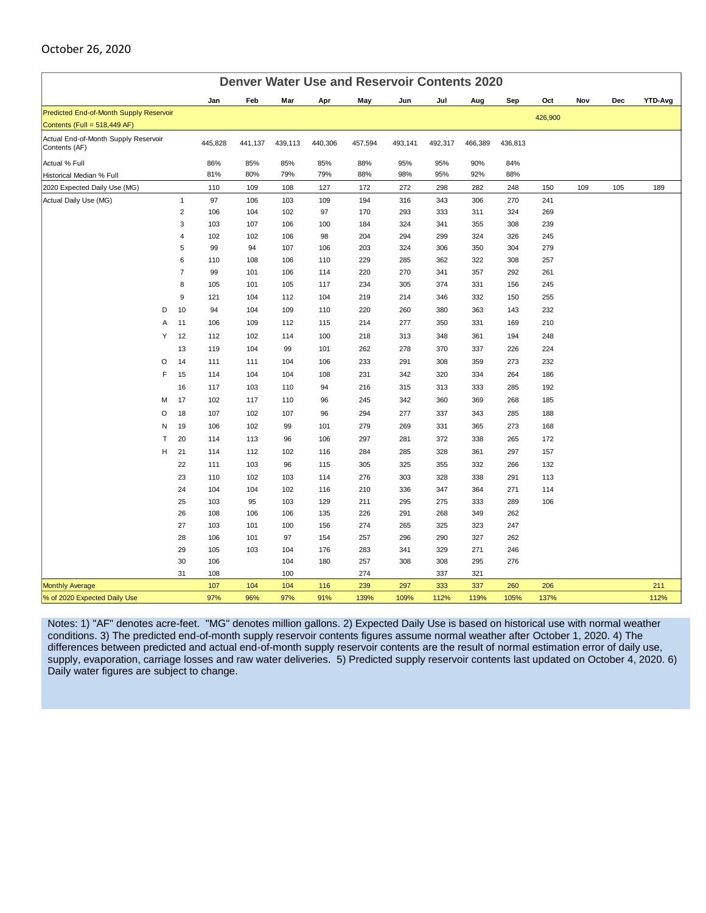#### October 26, 2020

|                                                       | <b>Denver Water Use and Reservoir Contents 2020</b> |                |            |            |           |            |            |            |            |            |            |         |     |     |         |
|-------------------------------------------------------|-----------------------------------------------------|----------------|------------|------------|-----------|------------|------------|------------|------------|------------|------------|---------|-----|-----|---------|
|                                                       |                                                     |                | Jan        | Feb        | Mar       | Apr        | May        | Jun        | Jul        | Aug        | Sep        | Oct     | Nov | Dec | YTD-Avg |
| Predicted End-of-Month Supply Reservoir               |                                                     |                |            |            |           |            |            |            |            |            |            | 426,900 |     |     |         |
| Contents (Full = 518,449 AF)                          |                                                     |                |            |            |           |            |            |            |            |            |            |         |     |     |         |
| Actual End-of-Month Supply Reservoir<br>Contents (AF) |                                                     | 445,828        | 441,137    | 439,113    | 440,306   | 457,594    | 493,141    | 492,317    | 466,389    | 436,813    |            |         |     |     |         |
| Actual % Full                                         |                                                     |                | 86%        | 85%        | 85%       | 85%        | 88%        | 95%        | 95%        | 90%        | 84%        |         |     |     |         |
| Historical Median % Full                              |                                                     |                | 81%        | 80%        | 79%       | 79%        | 88%        | 98%        | 95%        | 92%        | 88%        |         |     |     |         |
| 2020 Expected Daily Use (MG)                          |                                                     |                | 110        | 109        | 108       | 127        | 172        | 272        | 298        | 282        | 248        | 150     | 109 | 105 | 189     |
| Actual Daily Use (MG)                                 |                                                     | $\mathbf{1}$   | 97         | 106        | 103       | 109        | 194        | 316        | 343        | 306        | 270        | 241     |     |     |         |
|                                                       |                                                     | $\overline{2}$ | 106        | 104        | 102       | 97         | 170        | 293        | 333        | 311        | 324        | 269     |     |     |         |
|                                                       |                                                     | 3              | 103        | 107        | 106       | 100        | 184        | 324        | 341        | 355        | 308        | 239     |     |     |         |
|                                                       |                                                     | $\overline{4}$ | 102        | 102        | 106       | 98         | 204        | 294        | 299        | 324        | 326        | 245     |     |     |         |
|                                                       |                                                     | 5              | 99         | 94         | 107       | 106        | 203        | 324        | 306        | 350        | 304        | 279     |     |     |         |
|                                                       |                                                     | 6              | 110        | 108        | 106       | 110        | 229        | 285        | 362        | 322        | 308        | 257     |     |     |         |
|                                                       |                                                     | $\overline{7}$ | 99         | 101        | 106       | 114        | 220        | 270        | 341        | 357        | 292        | 261     |     |     |         |
|                                                       |                                                     | 8              | 105        | 101        | 105       | 117        | 234        | 305        | 374        | 331        | 156        | 245     |     |     |         |
|                                                       |                                                     | $9\,$          | 121        | 104        | 112       | 104        | 219        | 214        | 346        | 332        | 150        | 255     |     |     |         |
|                                                       | D                                                   | 10             | 94         | 104        | 109       | 110        | 220        | 260        | 380        | 363        | 143        | 232     |     |     |         |
|                                                       | Α                                                   | 11             | 106        | 109        | 112       | 115        | 214        | 277        | 350        | 331        | 169        | 210     |     |     |         |
|                                                       | Υ                                                   | 12             | 112        | 102        | 114       | 100        | 218        | 313        | 348        | 361        | 194        | 248     |     |     |         |
|                                                       |                                                     | 13             | 119        | 104        | 99        | 101        | 262        | 278        | 370        | 337        | 226        | 224     |     |     |         |
|                                                       | O                                                   | 14             | 111        | 111        | 104       | 106        | 233        | 291        | 308        | 359        | 273        | 232     |     |     |         |
|                                                       | F                                                   | 15             | 114        | 104        | 104       | 108        | 231        | 342        | 320        | 334        | 264        | 186     |     |     |         |
|                                                       |                                                     | 16             | 117        | 103        | 110       | 94         | 216        | 315        | 313        | 333        | 285        | 192     |     |     |         |
|                                                       | M                                                   | 17             | 102        | 117        | 110       | 96         | 245        | 342        | 360        | 369        | 268        | 185     |     |     |         |
|                                                       | O                                                   | 18             | 107        | 102        | 107       | 96         | 294        | 277        | 337        | 343        | 285        | 188     |     |     |         |
|                                                       | N                                                   | 19             | 106        | 102        | 99        | 101        | 279        | 269        | 331        | 365        | 273        | 168     |     |     |         |
|                                                       | T                                                   | 20             | 114        | 113        | 96        | 106        | 297        | 281        | 372        | 338        | 265        | 172     |     |     |         |
|                                                       | H                                                   | 21             | 114        | 112        | 102       | 116        | 284        | 285        | 328        | 361        | 297        | 157     |     |     |         |
|                                                       |                                                     | 22             | 111        | 103        | 96        | 115        | 305        | 325        | 355        | 332        | 266        | 132     |     |     |         |
|                                                       |                                                     | 23             | 110        | 102        | 103       | 114        | 276        | 303        | 328        | 338        | 291        | 113     |     |     |         |
|                                                       |                                                     | 24             | 104        | 104        | 102       | 116        | 210        | 336        | 347        | 364        | 271        | 114     |     |     |         |
|                                                       |                                                     | 25             | 103        | 95         | 103       | 129        | 211        | 295        | 275        | 333        | 289        | 106     |     |     |         |
|                                                       |                                                     | 26             | 108        | 106        | 106       | 135        | 226        | 291        | 268        | 349        | 262        |         |     |     |         |
|                                                       |                                                     | 27<br>28       | 103<br>106 | 101<br>101 | 100<br>97 | 156<br>154 | 274<br>257 | 265<br>296 | 325<br>290 | 323<br>327 | 247<br>262 |         |     |     |         |
|                                                       |                                                     | 29             | 105        | 103        | 104       | 176        | 283        | 341        | 329        | 271        | 246        |         |     |     |         |
|                                                       |                                                     | 30             | 106        |            | 104       | 180        | 257        | 308        | 308        | 295        | 276        |         |     |     |         |
|                                                       |                                                     | 31             | 108        |            | 100       |            | 274        |            | 337        | 321        |            |         |     |     |         |
| <b>Monthly Average</b>                                |                                                     |                | 107        | 104        | 104       | 116        | 239        | 297        | 333        | 337        | 260        | 206     |     |     | 211     |
| % of 2020 Expected Daily Use                          |                                                     |                | 97%        | 96%        | 97%       | 91%        | 139%       | 109%       | 112%       | 119%       | 105%       | 137%    |     |     | 112%    |

Notes: 1) "AF" denotes acre-feet. "MG" denotes million gallons. 2) Expected Daily Use is based on historical use with normal weather conditions. 3) The predicted end-of-month supply reservoir contents figures assume normal weather after October 1, 2020. 4) The differences between predicted and actual end-of-month supply reservoir contents are the result of normal estimation error of daily use, supply, evaporation, carriage losses and raw water deliveries. 5) Predicted supply reservoir contents last updated on October 4, 2020. 6) Daily water figures are subject to change.